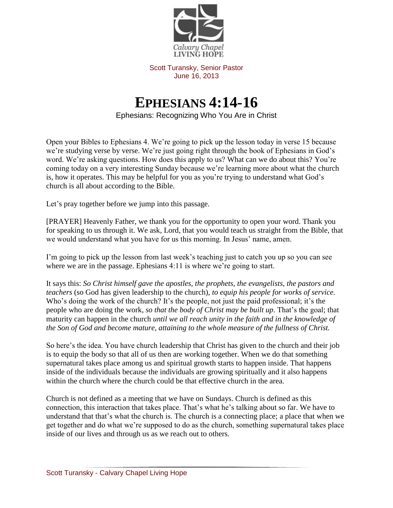

Scott Turansky, Senior Pastor June 16, 2013

## **EPHESIANS 4:14-16**

Ephesians: Recognizing Who You Are in Christ

Open your Bibles to Ephesians 4. We're going to pick up the lesson today in verse 15 because we're studying verse by verse. We're just going right through the book of Ephesians in God's word. We're asking questions. How does this apply to us? What can we do about this? You're coming today on a very interesting Sunday because we're learning more about what the church is, how it operates. This may be helpful for you as you're trying to understand what God's church is all about according to the Bible.

Let's pray together before we jump into this passage.

[PRAYER] Heavenly Father, we thank you for the opportunity to open your word. Thank you for speaking to us through it. We ask, Lord, that you would teach us straight from the Bible, that we would understand what you have for us this morning. In Jesus' name, amen.

I'm going to pick up the lesson from last week's teaching just to catch you up so you can see where we are in the passage. Ephesians 4:11 is where we're going to start.

It says this: *So Christ himself gave the apostles, the prophets, the evangelists, the pastors and teachers* (so God has given leadership to the church), *to equip his people for works of service.*  Who's doing the work of the church? It's the people, not just the paid professional; it's the people who are doing the work*, so that the body of Christ may be built up.* That's the goal; that maturity can happen in the church *until we all reach unity in the faith and in the knowledge of the Son of God and become mature, attaining to the whole measure of the fullness of Christ.*

So here's the idea. You have church leadership that Christ has given to the church and their job is to equip the body so that all of us then are working together. When we do that something supernatural takes place among us and spiritual growth starts to happen inside. That happens inside of the individuals because the individuals are growing spiritually and it also happens within the church where the church could be that effective church in the area.

Church is not defined as a meeting that we have on Sundays. Church is defined as this connection, this interaction that takes place. That's what he's talking about so far. We have to understand that that's what the church is. The church is a connecting place; a place that when we get together and do what we're supposed to do as the church, something supernatural takes place inside of our lives and through us as we reach out to others.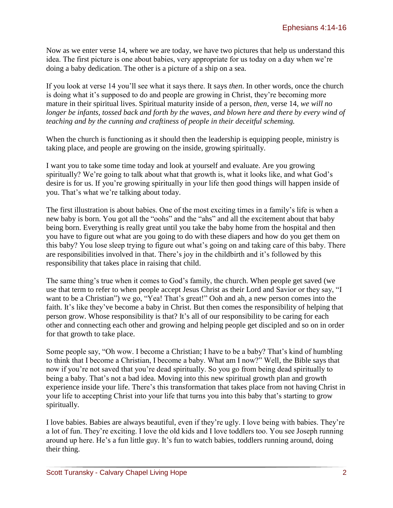Now as we enter verse 14, where we are today, we have two pictures that help us understand this idea. The first picture is one about babies, very appropriate for us today on a day when we're doing a baby dedication. The other is a picture of a ship on a sea.

If you look at verse 14 you'll see what it says there. It says *then*. In other words, once the church is doing what it's supposed to do and people are growing in Christ, they're becoming more mature in their spiritual lives. Spiritual maturity inside of a person, *then,* verse 14, *we will no longer be infants, tossed back and forth by the waves, and blown here and there by every wind of teaching and by the cunning and craftiness of people in their deceitful scheming.* 

When the church is functioning as it should then the leadership is equipping people, ministry is taking place, and people are growing on the inside, growing spiritually.

I want you to take some time today and look at yourself and evaluate. Are you growing spiritually? We're going to talk about what that growth is, what it looks like, and what God's desire is for us. If you're growing spiritually in your life then good things will happen inside of you. That's what we're talking about today.

The first illustration is about babies. One of the most exciting times in a family's life is when a new baby is born. You got all the "oohs" and the "ahs" and all the excitement about that baby being born. Everything is really great until you take the baby home from the hospital and then you have to figure out what are you going to do with these diapers and how do you get them on this baby? You lose sleep trying to figure out what's going on and taking care of this baby. There are responsibilities involved in that. There's joy in the childbirth and it's followed by this responsibility that takes place in raising that child.

The same thing's true when it comes to God's family, the church. When people get saved (we use that term to refer to when people accept Jesus Christ as their Lord and Savior or they say, "I want to be a Christian") we go, "Yea! That's great!" Ooh and ah, a new person comes into the faith. It's like they've become a baby in Christ. But then comes the responsibility of helping that person grow. Whose responsibility is that? It's all of our responsibility to be caring for each other and connecting each other and growing and helping people get discipled and so on in order for that growth to take place.

Some people say, "Oh wow. I become a Christian; I have to be a baby? That's kind of humbling to think that I become a Christian, I become a baby. What am I now?" Well, the Bible says that now if you're not saved that you're dead spiritually. So you go from being dead spiritually to being a baby. That's not a bad idea. Moving into this new spiritual growth plan and growth experience inside your life. There's this transformation that takes place from not having Christ in your life to accepting Christ into your life that turns you into this baby that's starting to grow spiritually.

I love babies. Babies are always beautiful, even if they're ugly. I love being with babies. They're a lot of fun. They're exciting. I love the old kids and I love toddlers too. You see Joseph running around up here. He's a fun little guy. It's fun to watch babies, toddlers running around, doing their thing.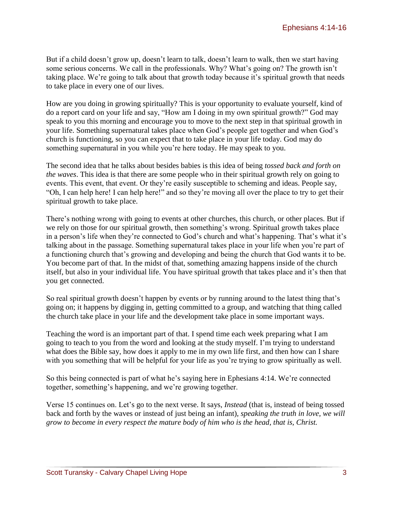But if a child doesn't grow up, doesn't learn to talk, doesn't learn to walk, then we start having some serious concerns. We call in the professionals. Why? What's going on? The growth isn't taking place. We're going to talk about that growth today because it's spiritual growth that needs to take place in every one of our lives.

How are you doing in growing spiritually? This is your opportunity to evaluate yourself, kind of do a report card on your life and say, "How am I doing in my own spiritual growth?" God may speak to you this morning and encourage you to move to the next step in that spiritual growth in your life. Something supernatural takes place when God's people get together and when God's church is functioning, so you can expect that to take place in your life today. God may do something supernatural in you while you're here today. He may speak to you.

The second idea that he talks about besides babies is this idea of being *tossed back and forth on the waves*. This idea is that there are some people who in their spiritual growth rely on going to events. This event, that event. Or they're easily susceptible to scheming and ideas. People say, "Oh, I can help here! I can help here!" and so they're moving all over the place to try to get their spiritual growth to take place.

There's nothing wrong with going to events at other churches, this church, or other places. But if we rely on those for our spiritual growth, then something's wrong. Spiritual growth takes place in a person's life when they're connected to God's church and what's happening. That's what it's talking about in the passage. Something supernatural takes place in your life when you're part of a functioning church that's growing and developing and being the church that God wants it to be. You become part of that. In the midst of that, something amazing happens inside of the church itself, but also in your individual life. You have spiritual growth that takes place and it's then that you get connected.

So real spiritual growth doesn't happen by events or by running around to the latest thing that's going on; it happens by digging in, getting committed to a group, and watching that thing called the church take place in your life and the development take place in some important ways.

Teaching the word is an important part of that. I spend time each week preparing what I am going to teach to you from the word and looking at the study myself. I'm trying to understand what does the Bible say, how does it apply to me in my own life first, and then how can I share with you something that will be helpful for your life as you're trying to grow spiritually as well.

So this being connected is part of what he's saying here in Ephesians 4:14. We're connected together, something's happening, and we're growing together.

Verse 15 continues on. Let's go to the next verse. It says, *Instead* (that is, instead of being tossed back and forth by the waves or instead of just being an infant)*, speaking the truth in love, we will grow to become in every respect the mature body of him who is the head, that is, Christ.*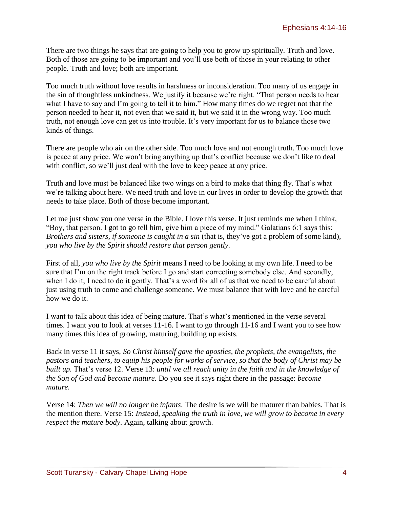There are two things he says that are going to help you to grow up spiritually. Truth and love. Both of those are going to be important and you'll use both of those in your relating to other people. Truth and love; both are important.

Too much truth without love results in harshness or inconsideration. Too many of us engage in the sin of thoughtless unkindness. We justify it because we're right. "That person needs to hear what I have to say and I'm going to tell it to him." How many times do we regret not that the person needed to hear it, not even that we said it, but we said it in the wrong way. Too much truth, not enough love can get us into trouble. It's very important for us to balance those two kinds of things.

There are people who air on the other side. Too much love and not enough truth. Too much love is peace at any price. We won't bring anything up that's conflict because we don't like to deal with conflict, so we'll just deal with the love to keep peace at any price.

Truth and love must be balanced like two wings on a bird to make that thing fly. That's what we're talking about here. We need truth and love in our lives in order to develop the growth that needs to take place. Both of those become important.

Let me just show you one verse in the Bible. I love this verse. It just reminds me when I think, "Boy, that person. I got to go tell him, give him a piece of my mind." Galatians 6:1 says this: *Brothers and sisters, if someone is caught in a sin* (that is, they've got a problem of some kind)*, you who live by the Spirit should restore that person gently.*

First of all, *you who live by the Spirit* means I need to be looking at my own life. I need to be sure that I'm on the right track before I go and start correcting somebody else. And secondly, when I do it, I need to do it gently. That's a word for all of us that we need to be careful about just using truth to come and challenge someone. We must balance that with love and be careful how we do it.

I want to talk about this idea of being mature. That's what's mentioned in the verse several times. I want you to look at verses 11-16. I want to go through 11-16 and I want you to see how many times this idea of growing, maturing, building up exists.

Back in verse 11 it says, *So Christ himself gave the apostles, the prophets, the evangelists, the pastors and teachers, to equip his people for works of service, so that the body of Christ may be built up.* That's verse 12. Verse 13: *until we all reach unity in the faith and in the knowledge of the Son of God and become mature.* Do you see it says right there in the passage: *become mature.*

Verse 14: *Then we will no longer be infants*. The desire is we will be maturer than babies. That is the mention there. Verse 15: *Instead, speaking the truth in love, we will grow to become in every respect the mature body.* Again, talking about growth.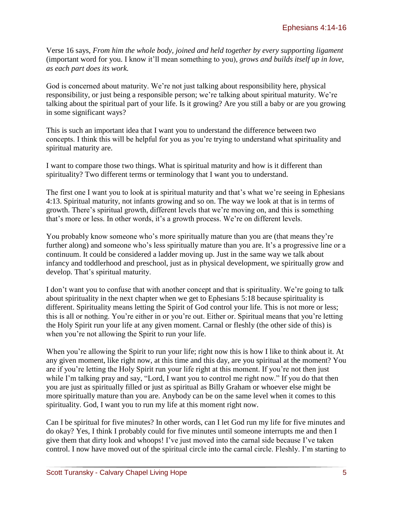Verse 16 says, *From him the whole body, joined and held together by every supporting ligament* (important word for you. I know it'll mean something to you)*, grows and builds itself up in love, as each part does its work.*

God is concerned about maturity. We're not just talking about responsibility here, physical responsibility, or just being a responsible person; we're talking about spiritual maturity. We're talking about the spiritual part of your life. Is it growing? Are you still a baby or are you growing in some significant ways?

This is such an important idea that I want you to understand the difference between two concepts. I think this will be helpful for you as you're trying to understand what spirituality and spiritual maturity are.

I want to compare those two things. What is spiritual maturity and how is it different than spirituality? Two different terms or terminology that I want you to understand.

The first one I want you to look at is spiritual maturity and that's what we're seeing in Ephesians 4:13. Spiritual maturity, not infants growing and so on. The way we look at that is in terms of growth. There's spiritual growth, different levels that we're moving on, and this is something that's more or less. In other words, it's a growth process. We're on different levels.

You probably know someone who's more spiritually mature than you are (that means they're further along) and someone who's less spiritually mature than you are. It's a progressive line or a continuum. It could be considered a ladder moving up. Just in the same way we talk about infancy and toddlerhood and preschool, just as in physical development, we spiritually grow and develop. That's spiritual maturity.

I don't want you to confuse that with another concept and that is spirituality. We're going to talk about spirituality in the next chapter when we get to Ephesians 5:18 because spirituality is different. Spirituality means letting the Spirit of God control your life. This is not more or less; this is all or nothing. You're either in or you're out. Either or. Spiritual means that you're letting the Holy Spirit run your life at any given moment. Carnal or fleshly (the other side of this) is when you're not allowing the Spirit to run your life.

When you're allowing the Spirit to run your life; right now this is how I like to think about it. At any given moment, like right now, at this time and this day, are you spiritual at the moment? You are if you're letting the Holy Spirit run your life right at this moment. If you're not then just while I'm talking pray and say, "Lord, I want you to control me right now." If you do that then you are just as spiritually filled or just as spiritual as Billy Graham or whoever else might be more spiritually mature than you are. Anybody can be on the same level when it comes to this spirituality. God, I want you to run my life at this moment right now.

Can I be spiritual for five minutes? In other words, can I let God run my life for five minutes and do okay? Yes, I think I probably could for five minutes until someone interrupts me and then I give them that dirty look and whoops! I've just moved into the carnal side because I've taken control. I now have moved out of the spiritual circle into the carnal circle. Fleshly. I'm starting to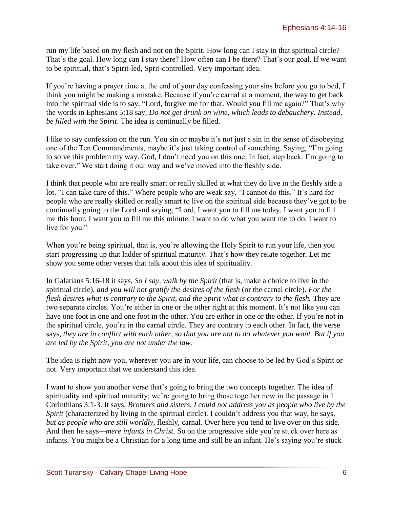run my life based on my flesh and not on the Spirit. How long can I stay in that spiritual circle? That's the goal. How long can I stay there? How often can I be there? That's our goal. If we want to be spiritual, that's Spirit-led, Sprit-controlled. Very important idea.

If you're having a prayer time at the end of your day confessing your sins before you go to bed, I think you might be making a mistake. Because if you're carnal at a moment, the way to get back into the spiritual side is to say, "Lord, forgive me for that. Would you fill me again?" That's why the words in Ephesians 5:18 say, *Do not get drunk on wine, which leads to debauchery. Instead, be filled with the Spirit*. The idea is continually be filled.

I like to say confession on the run. You sin or maybe it's not just a sin in the sense of disobeying one of the Ten Commandments, maybe it's just taking control of something. Saying, "I'm going to solve this problem my way. God, I don't need you on this one. In fact, step back. I'm going to take over." We start doing it our way and we've moved into the fleshly side.

I think that people who are really smart or really skilled at what they do live in the fleshly side a lot. "I can take care of this." Where people who are weak say, "I cannot do this." It's hard for people who are really skilled or really smart to live on the spiritual side because they've got to be continually going to the Lord and saying, "Lord, I want you to fill me today. I want you to fill me this hour. I want you to fill me this minute. I want to do what you want me to do. I want to live for you."

When you're being spiritual, that is, you're allowing the Holy Spirit to run your life, then you start progressing up that ladder of spiritual maturity. That's how they relate together. Let me show you some other verses that talk about this idea of spirituality.

In Galatians 5:16-18 it says, *So I say, walk by the Spirit* (that is, make a choice to live in the spiritual circle)*, and you will not gratify the desires of the flesh* (or the carnal circle)*. For the flesh desires what is contrary to the Spirit, and the Spirit what is contrary to the flesh.* They are two separate circles. You're either in one or the other right at this moment. It's not like you can have one foot in one and one foot in the other. You are either in one or the other. If you're not in the spiritual circle, you're in the carnal circle. They are contrary to each other. In fact, the verse says, *they are in conflict with each other, so that you are not to do whatever you want. But if you are led by the Spirit, you are not under the law.*

The idea is right now you, wherever you are in your life, can choose to be led by God's Spirit or not. Very important that we understand this idea.

I want to show you another verse that's going to bring the two concepts together. The idea of spirituality and spiritual maturity; we're going to bring those together now in the passage in 1 Corinthians 3:1-3. It says, *Brothers and sisters, I could not address you as people who live by the Spirit* (characterized by living in the spiritual circle). I couldn't address you that way, he says, *but as people who are still worldly,* fleshly, carnal. Over here you tend to live over on this side. And then he says*—mere infants in Christ.* So on the progressive side you're stuck over here as infants. You might be a Christian for a long time and still be an infant. He's saying you're stuck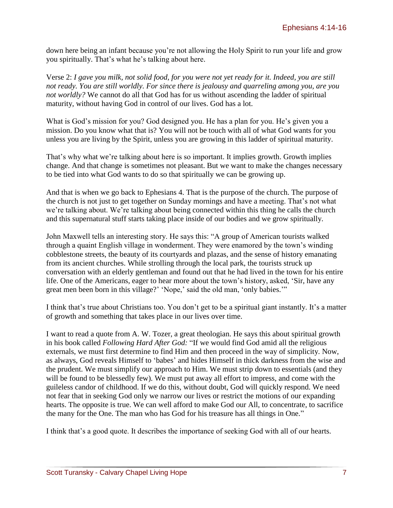down here being an infant because you're not allowing the Holy Spirit to run your life and grow you spiritually. That's what he's talking about here.

Verse 2: *I gave you milk, not solid food, for you were not yet ready for it. Indeed, you are still not ready. You are still worldly. For since there is jealousy and quarreling among you, are you not worldly?* We cannot do all that God has for us without ascending the ladder of spiritual maturity, without having God in control of our lives. God has a lot.

What is God's mission for you? God designed you. He has a plan for you. He's given you a mission. Do you know what that is? You will not be touch with all of what God wants for you unless you are living by the Spirit, unless you are growing in this ladder of spiritual maturity.

That's why what we're talking about here is so important. It implies growth. Growth implies change. And that change is sometimes not pleasant. But we want to make the changes necessary to be tied into what God wants to do so that spiritually we can be growing up.

And that is when we go back to Ephesians 4. That is the purpose of the church. The purpose of the church is not just to get together on Sunday mornings and have a meeting. That's not what we're talking about. We're talking about being connected within this thing he calls the church and this supernatural stuff starts taking place inside of our bodies and we grow spiritually.

John Maxwell tells an interesting story. He says this: "A group of American tourists walked through a quaint English village in wonderment. They were enamored by the town's winding cobblestone streets, the beauty of its courtyards and plazas, and the sense of history emanating from its ancient churches. While strolling through the local park, the tourists struck up conversation with an elderly gentleman and found out that he had lived in the town for his entire life. One of the Americans, eager to hear more about the town's history, asked, 'Sir, have any great men been born in this village?' 'Nope,' said the old man, 'only babies.'"

I think that's true about Christians too. You don't get to be a spiritual giant instantly. It's a matter of growth and something that takes place in our lives over time.

I want to read a quote from A. W. Tozer, a great theologian. He says this about spiritual growth in his book called *Following Hard After God:* "If we would find God amid all the religious externals, we must first determine to find Him and then proceed in the way of simplicity. Now, as always, God reveals Himself to 'babes' and hides Himself in thick darkness from the wise and the prudent. We must simplify our approach to Him. We must strip down to essentials (and they will be found to be blessedly few). We must put away all effort to impress, and come with the guileless candor of childhood. If we do this, without doubt, God will quickly respond. We need not fear that in seeking God only we narrow our lives or restrict the motions of our expanding hearts. The opposite is true. We can well afford to make God our All, to concentrate, to sacrifice the many for the One. The man who has God for his treasure has all things in One."

I think that's a good quote. It describes the importance of seeking God with all of our hearts.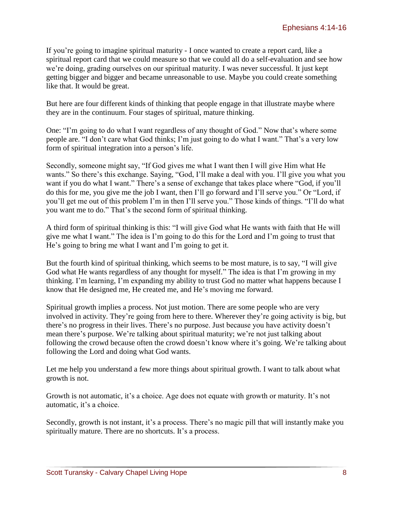If you're going to imagine spiritual maturity - I once wanted to create a report card, like a spiritual report card that we could measure so that we could all do a self-evaluation and see how we're doing, grading ourselves on our spiritual maturity. I was never successful. It just kept getting bigger and bigger and became unreasonable to use. Maybe you could create something like that. It would be great.

But here are four different kinds of thinking that people engage in that illustrate maybe where they are in the continuum. Four stages of spiritual, mature thinking.

One: "I'm going to do what I want regardless of any thought of God." Now that's where some people are. "I don't care what God thinks; I'm just going to do what I want." That's a very low form of spiritual integration into a person's life.

Secondly, someone might say, "If God gives me what I want then I will give Him what He wants." So there's this exchange. Saying, "God, I'll make a deal with you. I'll give you what you want if you do what I want." There's a sense of exchange that takes place where "God, if you'll do this for me, you give me the job I want, then I'll go forward and I'll serve you." Or "Lord, if you'll get me out of this problem I'm in then I'll serve you." Those kinds of things. "I'll do what you want me to do." That's the second form of spiritual thinking.

A third form of spiritual thinking is this: "I will give God what He wants with faith that He will give me what I want." The idea is I'm going to do this for the Lord and I'm going to trust that He's going to bring me what I want and I'm going to get it.

But the fourth kind of spiritual thinking, which seems to be most mature, is to say, "I will give God what He wants regardless of any thought for myself." The idea is that I'm growing in my thinking. I'm learning, I'm expanding my ability to trust God no matter what happens because I know that He designed me, He created me, and He's moving me forward.

Spiritual growth implies a process. Not just motion. There are some people who are very involved in activity. They're going from here to there. Wherever they're going activity is big, but there's no progress in their lives. There's no purpose. Just because you have activity doesn't mean there's purpose. We're talking about spiritual maturity; we're not just talking about following the crowd because often the crowd doesn't know where it's going. We're talking about following the Lord and doing what God wants.

Let me help you understand a few more things about spiritual growth. I want to talk about what growth is not.

Growth is not automatic, it's a choice. Age does not equate with growth or maturity. It's not automatic, it's a choice.

Secondly, growth is not instant, it's a process. There's no magic pill that will instantly make you spiritually mature. There are no shortcuts. It's a process.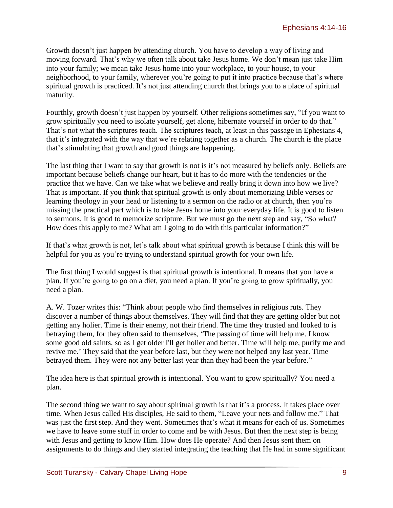Growth doesn't just happen by attending church. You have to develop a way of living and moving forward. That's why we often talk about take Jesus home. We don't mean just take Him into your family; we mean take Jesus home into your workplace, to your house, to your neighborhood, to your family, wherever you're going to put it into practice because that's where spiritual growth is practiced. It's not just attending church that brings you to a place of spiritual maturity.

Fourthly, growth doesn't just happen by yourself. Other religions sometimes say, "If you want to grow spiritually you need to isolate yourself, get alone, hibernate yourself in order to do that." That's not what the scriptures teach. The scriptures teach, at least in this passage in Ephesians 4, that it's integrated with the way that we're relating together as a church. The church is the place that's stimulating that growth and good things are happening.

The last thing that I want to say that growth is not is it's not measured by beliefs only. Beliefs are important because beliefs change our heart, but it has to do more with the tendencies or the practice that we have. Can we take what we believe and really bring it down into how we live? That is important. If you think that spiritual growth is only about memorizing Bible verses or learning theology in your head or listening to a sermon on the radio or at church, then you're missing the practical part which is to take Jesus home into your everyday life. It is good to listen to sermons. It is good to memorize scripture. But we must go the next step and say, "So what? How does this apply to me? What am I going to do with this particular information?"

If that's what growth is not, let's talk about what spiritual growth is because I think this will be helpful for you as you're trying to understand spiritual growth for your own life.

The first thing I would suggest is that spiritual growth is intentional. It means that you have a plan. If you're going to go on a diet, you need a plan. If you're going to grow spiritually, you need a plan.

A. W. Tozer writes this: "Think about people who find themselves in religious ruts. They discover a number of things about themselves. They will find that they are getting older but not getting any holier. Time is their enemy, not their friend. The time they trusted and looked to is betraying them, for they often said to themselves, 'The passing of time will help me. I know some good old saints, so as I get older I'll get holier and better. Time will help me, purify me and revive me.' They said that the year before last, but they were not helped any last year. Time betrayed them. They were not any better last year than they had been the year before."

The idea here is that spiritual growth is intentional. You want to grow spiritually? You need a plan.

The second thing we want to say about spiritual growth is that it's a process. It takes place over time. When Jesus called His disciples, He said to them, "Leave your nets and follow me." That was just the first step. And they went. Sometimes that's what it means for each of us. Sometimes we have to leave some stuff in order to come and be with Jesus. But then the next step is being with Jesus and getting to know Him. How does He operate? And then Jesus sent them on assignments to do things and they started integrating the teaching that He had in some significant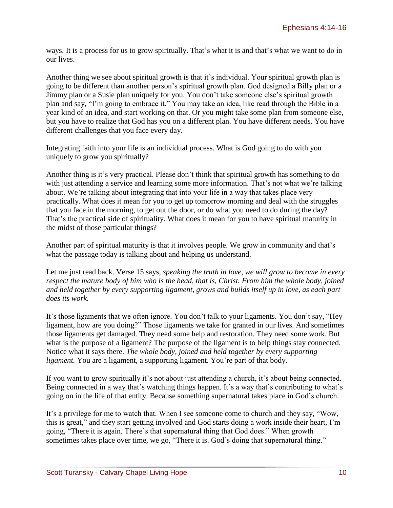ways. It is a process for us to grow spiritually. That's what it is and that's what we want to do in our lives.

Another thing we see about spiritual growth is that it's individual. Your spiritual growth plan is going to be different than another person's spiritual growth plan. God designed a Billy plan or a Jimmy plan or a Susie plan uniquely for you. You don't take someone else's spiritual growth plan and say, "I'm going to embrace it." You may take an idea, like read through the Bible in a year kind of an idea, and start working on that. Or you might take some plan from someone else, but you have to realize that God has you on a different plan. You have different needs. You have different challenges that you face every day.

Integrating faith into your life is an individual process. What is God going to do with you uniquely to grow you spiritually?

Another thing is it's very practical. Please don't think that spiritual growth has something to do with just attending a service and learning some more information. That's not what we're talking about. We're talking about integrating that into your life in a way that takes place very practically. What does it mean for you to get up tomorrow morning and deal with the struggles that you face in the morning, to get out the door, or do what you need to do during the day? That's the practical side of spirituality. What does it mean for you to have spiritual maturity in the midst of those particular things?

Another part of spiritual maturity is that it involves people. We grow in community and that's what the passage today is talking about and helping us understand.

Let me just read back. Verse 15 says, *speaking the truth in love, we will grow to become in every respect the mature body of him who is the head, that is, Christ. From him the whole body, joined and held together by every supporting ligament, grows and builds itself up in love, as each part does its work.*

It's those ligaments that we often ignore. You don't talk to your ligaments. You don't say, "Hey ligament, how are you doing?" Those ligaments we take for granted in our lives. And sometimes those ligaments get damaged. They need some help and restoration. They need some work. But what is the purpose of a ligament? The purpose of the ligament is to help things stay connected. Notice what it says there. *The whole body, joined and held together by every supporting ligament*. You are a ligament, a supporting ligament. You're part of that body.

If you want to grow spiritually it's not about just attending a church, it's about being connected. Being connected in a way that's watching things happen. It's a way that's contributing to what's going on in the life of that entity. Because something supernatural takes place in God's church.

It's a privilege for me to watch that. When I see someone come to church and they say, "Wow, this is great," and they start getting involved and God starts doing a work inside their heart, I'm going, "There it is again. There's that supernatural thing that God does." When growth sometimes takes place over time, we go, "There it is. God's doing that supernatural thing."